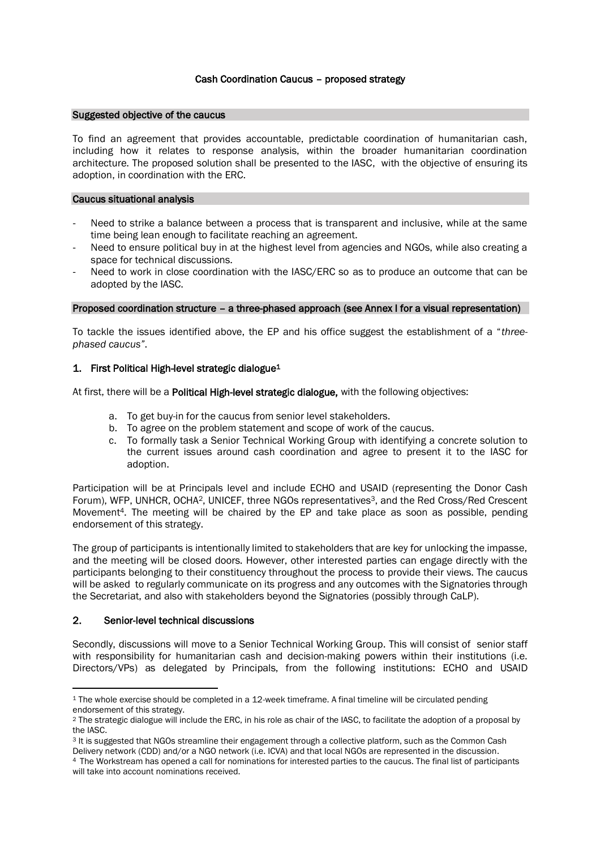# Cash Coordination Caucus – proposed strategy

#### Suggested objective of the caucus

To find an agreement that provides accountable, predictable coordination of humanitarian cash, including how it relates to response analysis, within the broader humanitarian coordination architecture. The proposed solution shall be presented to the IASC, with the objective of ensuring its adoption, in coordination with the ERC.

#### Caucus situational analysis

- Need to strike a balance between a process that is transparent and inclusive, while at the same time being lean enough to facilitate reaching an agreement.
- Need to ensure political buy in at the highest level from agencies and NGOs, while also creating a space for technical discussions.
- Need to work in close coordination with the IASC/ERC so as to produce an outcome that can be adopted by the IASC.

### Proposed coordination structure – a three-phased approach (see Annex I for a visual representation)

To tackle the issues identified above, the EP and his office suggest the establishment of a "*threephased caucus"*.

# 1. First Political High-level strategic dialogue<sup>1</sup>

At first, there will be a Political High-level strategic dialogue, with the following objectives:

- a. To get buy-in for the caucus from senior level stakeholders.
- b. To agree on the problem statement and scope of work of the caucus.
- c. To formally task a Senior Technical Working Group with identifying a concrete solution to the current issues around cash coordination and agree to present it to the IASC for adoption.

Participation will be at Principals level and include ECHO and USAID (representing the Donor Cash Forum), WFP, UNHCR, OCHA<sup>2</sup>, UNICEF, three NGOs representatives<sup>3</sup>, and the Red Cross/Red Crescent Movement4. The meeting will be chaired by the EP and take place as soon as possible, pending endorsement of this strategy.

The group of participants is intentionally limited to stakeholders that are key for unlocking the impasse, and the meeting will be closed doors. However, other interested parties can engage directly with the participants belonging to their constituency throughout the process to provide their views. The caucus will be asked to regularly communicate on its progress and any outcomes with the Signatories through the Secretariat, and also with stakeholders beyond the Signatories (possibly through CaLP).

# 2. Senior-level technical discussions

Secondly, discussions will move to a Senior Technical Working Group. This will consist of senior staff with responsibility for humanitarian cash and decision-making powers within their institutions (i.e. Directors/VPs) as delegated by Principals, from the following institutions: ECHO and USAID

<sup>1</sup> The whole exercise should be completed in a 12-week timeframe. A final timeline will be circulated pending endorsement of this strategy.

<sup>2</sup> The strategic dialogue will include the ERC, in his role as chair of the IASC, to facilitate the adoption of a proposal by the IASC.

<sup>3</sup> It is suggested that NGOs streamline their engagement through a collective platform, such as the Common Cash Delivery network (CDD) and/or a NGO network (i.e. ICVA) and that local NGOs are represented in the discussion.

<sup>4</sup> The Workstream has opened a call for nominations for interested parties to the caucus. The final list of participants will take into account nominations received.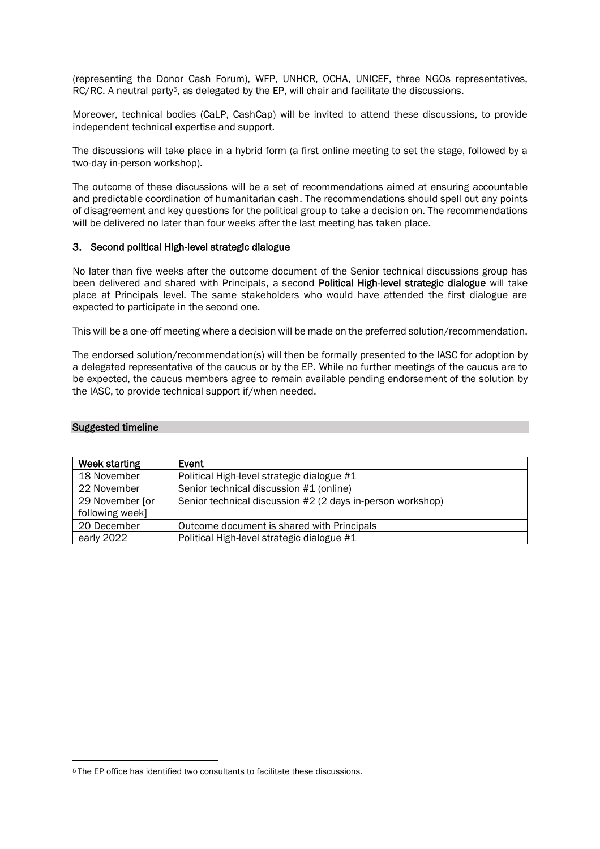(representing the Donor Cash Forum), WFP, UNHCR, OCHA, UNICEF, three NGOs representatives, RC/RC. A neutral party5, as delegated by the EP, will chair and facilitate the discussions.

Moreover, technical bodies (CaLP, CashCap) will be invited to attend these discussions, to provide independent technical expertise and support.

The discussions will take place in a hybrid form (a first online meeting to set the stage, followed by a two-day in-person workshop).

The outcome of these discussions will be a set of recommendations aimed at ensuring accountable and predictable coordination of humanitarian cash. The recommendations should spell out any points of disagreement and key questions for the political group to take a decision on. The recommendations will be delivered no later than four weeks after the last meeting has taken place.

#### 3. Second political High-level strategic dialogue

No later than five weeks after the outcome document of the Senior technical discussions group has been delivered and shared with Principals, a second Political High-level strategic dialogue will take place at Principals level. The same stakeholders who would have attended the first dialogue are expected to participate in the second one.

This will be a one-off meeting where a decision will be made on the preferred solution/recommendation.

The endorsed solution/recommendation(s) will then be formally presented to the IASC for adoption by a delegated representative of the caucus or by the EP. While no further meetings of the caucus are to be expected, the caucus members agree to remain available pending endorsement of the solution by the IASC, to provide technical support if/when needed.

#### Suggested timeline

| Week starting   | Event                                                      |
|-----------------|------------------------------------------------------------|
| 18 November     | Political High-level strategic dialogue #1                 |
| 22 November     | Senior technical discussion #1 (online)                    |
| 29 November [or | Senior technical discussion #2 (2 days in-person workshop) |
| following week] |                                                            |
| 20 December     | Outcome document is shared with Principals                 |
| early 2022      | Political High-level strategic dialogue #1                 |

<sup>5</sup> The EP office has identified two consultants to facilitate these discussions.